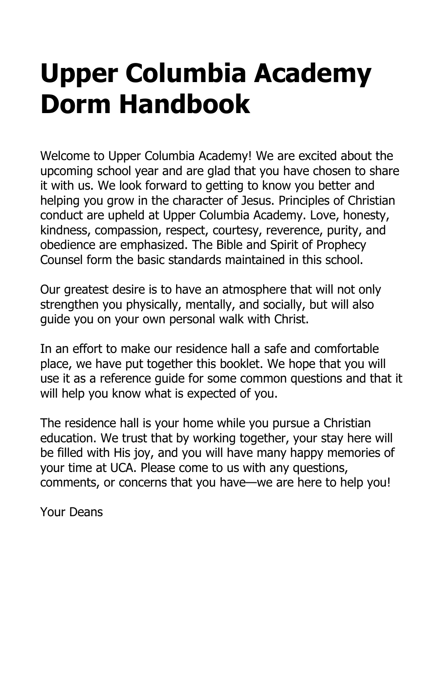### **Upper Columbia Academy Dorm Handbook**

Welcome to Upper Columbia Academy! We are excited about the upcoming school year and are glad that you have chosen to share it with us. We look forward to getting to know you better and helping you grow in the character of Jesus. Principles of Christian conduct are upheld at Upper Columbia Academy. Love, honesty, kindness, compassion, respect, courtesy, reverence, purity, and obedience are emphasized. The Bible and Spirit of Prophecy Counsel form the basic standards maintained in this school.

Our greatest desire is to have an atmosphere that will not only strengthen you physically, mentally, and socially, but will also guide you on your own personal walk with Christ.

In an effort to make our residence hall a safe and comfortable place, we have put together this booklet. We hope that you will use it as a reference guide for some common questions and that it will help you know what is expected of you.

The residence hall is your home while you pursue a Christian education. We trust that by working together, your stay here will be filled with His joy, and you will have many happy memories of your time at UCA. Please come to us with any questions, comments, or concerns that you have—we are here to help you!

Your Deans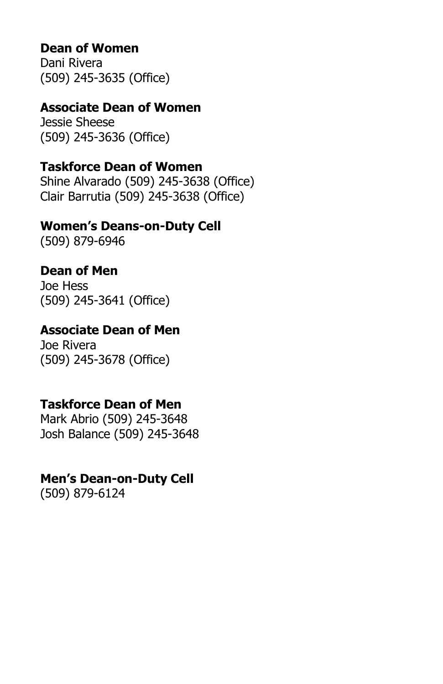### **Dean of Women**

Dani Rivera (509) 245-3635 (Office)

### **Associate Dean of Women**

Jessie Sheese (509) 245-3636 (Office)

### **Taskforce Dean of Women**

Shine Alvarado (509) 245-3638 (Office) Clair Barrutia (509) 245-3638 (Office)

#### **Women's Deans-on-Duty Cell**

(509) 879-6946

### **Dean of Men**

Joe Hess (509) 245-3641 (Office)

### **Associate Dean of Men**

Joe Rivera (509) 245-3678 (Office)

### **Taskforce Dean of Men**

Mark Abrio (509) 245-3648 Josh Balance (509) 245-3648

#### **Men's Dean-on-Duty Cell**

(509) 879-6124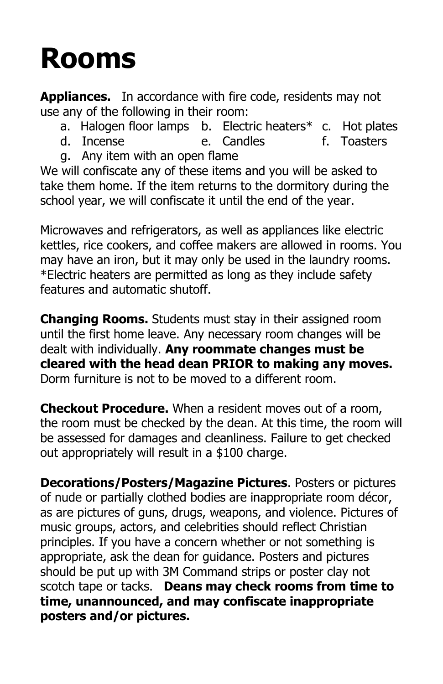## **Rooms**

**Appliances.** In accordance with fire code, residents may not use any of the following in their room:

- a. Halogen floor lamps b. Electric heaters\* c. Hot plates
- d. Incense e. Candles f. Toasters
- g. Any item with an open flame

We will confiscate any of these items and you will be asked to take them home. If the item returns to the dormitory during the school year, we will confiscate it until the end of the year.

Microwaves and refrigerators, as well as appliances like electric kettles, rice cookers, and coffee makers are allowed in rooms. You may have an iron, but it may only be used in the laundry rooms. \*Electric heaters are permitted as long as they include safety features and automatic shutoff.

**Changing Rooms.** Students must stay in their assigned room until the first home leave. Any necessary room changes will be dealt with individually. **Any roommate changes must be cleared with the head dean PRIOR to making any moves.** Dorm furniture is not to be moved to a different room.

**Checkout Procedure.** When a resident moves out of a room, the room must be checked by the dean. At this time, the room will be assessed for damages and cleanliness. Failure to get checked out appropriately will result in a \$100 charge.

**Decorations/Posters/Magazine Pictures**. Posters or pictures of nude or partially clothed bodies are inappropriate room décor, as are pictures of guns, drugs, weapons, and violence. Pictures of music groups, actors, and celebrities should reflect Christian principles. If you have a concern whether or not something is appropriate, ask the dean for guidance. Posters and pictures should be put up with 3M Command strips or poster clay not scotch tape or tacks. **Deans may check rooms from time to time, unannounced, and may confiscate inappropriate posters and/or pictures.**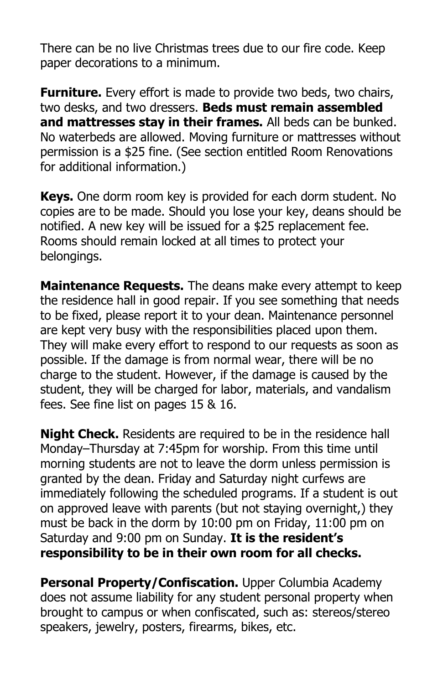There can be no live Christmas trees due to our fire code. Keep paper decorations to a minimum.

**Furniture.** Every effort is made to provide two beds, two chairs, two desks, and two dressers. **Beds must remain assembled and mattresses stay in their frames.** All beds can be bunked. No waterbeds are allowed. Moving furniture or mattresses without permission is a \$25 fine. (See section entitled Room Renovations for additional information.)

**Keys.** One dorm room key is provided for each dorm student. No copies are to be made. Should you lose your key, deans should be notified. A new key will be issued for a \$25 replacement fee. Rooms should remain locked at all times to protect your belongings.

**Maintenance Requests.** The deans make every attempt to keep the residence hall in good repair. If you see something that needs to be fixed, please report it to your dean. Maintenance personnel are kept very busy with the responsibilities placed upon them. They will make every effort to respond to our requests as soon as possible. If the damage is from normal wear, there will be no charge to the student. However, if the damage is caused by the student, they will be charged for labor, materials, and vandalism fees. See fine list on pages 15 & 16.

**Night Check.** Residents are required to be in the residence hall Monday–Thursday at 7:45pm for worship. From this time until morning students are not to leave the dorm unless permission is granted by the dean. Friday and Saturday night curfews are immediately following the scheduled programs. If a student is out on approved leave with parents (but not staying overnight,) they must be back in the dorm by 10:00 pm on Friday, 11:00 pm on Saturday and 9:00 pm on Sunday. **It is the resident's responsibility to be in their own room for all checks.** 

**Personal Property/Confiscation.** Upper Columbia Academy does not assume liability for any student personal property when brought to campus or when confiscated, such as: stereos/stereo speakers, jewelry, posters, firearms, bikes, etc.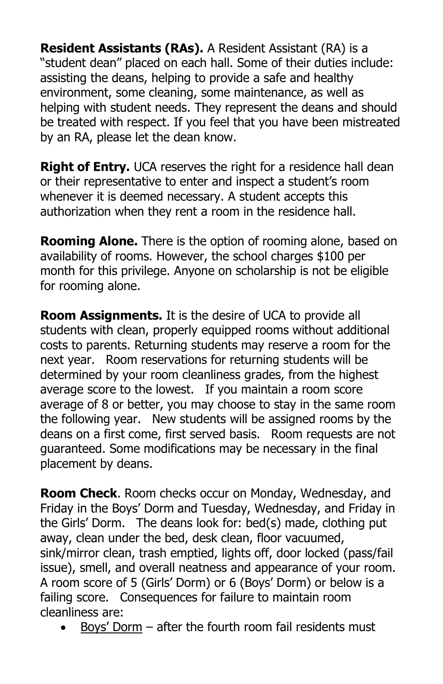**Resident Assistants (RAs).** A Resident Assistant (RA) is a "student dean" placed on each hall. Some of their duties include: assisting the deans, helping to provide a safe and healthy environment, some cleaning, some maintenance, as well as helping with student needs. They represent the deans and should be treated with respect. If you feel that you have been mistreated by an RA, please let the dean know.

**Right of Entry.** UCA reserves the right for a residence hall dean or their representative to enter and inspect a student's room whenever it is deemed necessary. A student accepts this authorization when they rent a room in the residence hall.

**Rooming Alone.** There is the option of rooming alone, based on availability of rooms. However, the school charges \$100 per month for this privilege. Anyone on scholarship is not be eligible for rooming alone.

**Room Assignments.** It is the desire of UCA to provide all students with clean, properly equipped rooms without additional costs to parents. Returning students may reserve a room for the next year. Room reservations for returning students will be determined by your room cleanliness grades, from the highest average score to the lowest. If you maintain a room score average of 8 or better, you may choose to stay in the same room the following year. New students will be assigned rooms by the deans on a first come, first served basis. Room requests are not guaranteed. Some modifications may be necessary in the final placement by deans.

**Room Check**. Room checks occur on Monday, Wednesday, and Friday in the Boys' Dorm and Tuesday, Wednesday, and Friday in the Girls' Dorm. The deans look for: bed(s) made, clothing put away, clean under the bed, desk clean, floor vacuumed, sink/mirror clean, trash emptied, lights off, door locked (pass/fail issue), smell, and overall neatness and appearance of your room. A room score of 5 (Girls' Dorm) or 6 (Boys' Dorm) or below is a failing score. Consequences for failure to maintain room cleanliness are:

• Boys' Dorm – after the fourth room fail residents must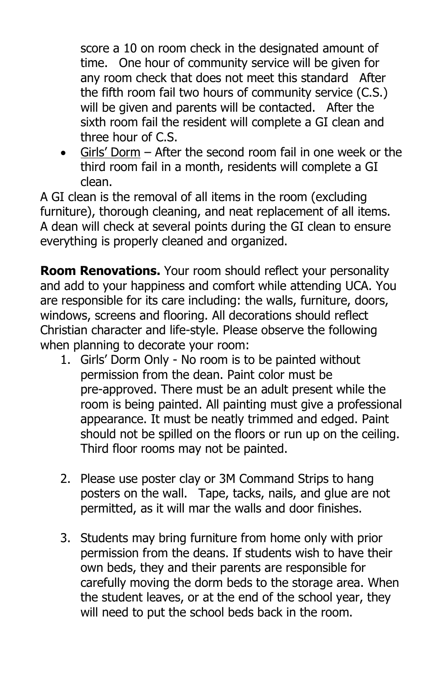score a 10 on room check in the designated amount of time. One hour of community service will be given for any room check that does not meet this standard After the fifth room fail two hours of community service (C.S.) will be given and parents will be contacted. After the sixth room fail the resident will complete a GI clean and three hour of C.S.

• Girls' Dorm – After the second room fail in one week or the third room fail in a month, residents will complete a GI clean.

A GI clean is the removal of all items in the room (excluding furniture), thorough cleaning, and neat replacement of all items. A dean will check at several points during the GI clean to ensure everything is properly cleaned and organized.

**Room Renovations.** Your room should reflect your personality and add to your happiness and comfort while attending UCA. You are responsible for its care including: the walls, furniture, doors, windows, screens and flooring. All decorations should reflect Christian character and life-style. Please observe the following when planning to decorate your room:

- 1. Girls' Dorm Only No room is to be painted without permission from the dean. Paint color must be pre-approved. There must be an adult present while the room is being painted. All painting must give a professional appearance. It must be neatly trimmed and edged. Paint should not be spilled on the floors or run up on the ceiling. Third floor rooms may not be painted.
- 2. Please use poster clay or 3M Command Strips to hang posters on the wall. Tape, tacks, nails, and glue are not permitted, as it will mar the walls and door finishes.
- 3. Students may bring furniture from home only with prior permission from the deans. If students wish to have their own beds, they and their parents are responsible for carefully moving the dorm beds to the storage area. When the student leaves, or at the end of the school year, they will need to put the school beds back in the room.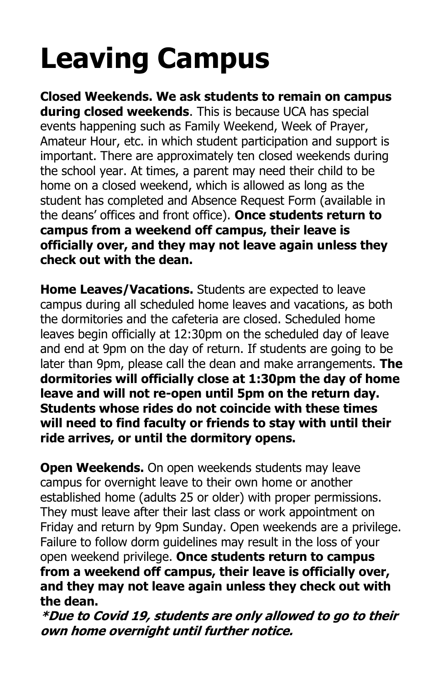# **Leaving Campus**

**Closed Weekends. We ask students to remain on campus during closed weekends**. This is because UCA has special events happening such as Family Weekend, Week of Prayer, Amateur Hour, etc. in which student participation and support is important. There are approximately ten closed weekends during the school year. At times, a parent may need their child to be home on a closed weekend, which is allowed as long as the student has completed and Absence Request Form (available in the deans' offices and front office). **Once students return to campus from a weekend off campus, their leave is officially over, and they may not leave again unless they check out with the dean.**

**Home Leaves/Vacations.** Students are expected to leave campus during all scheduled home leaves and vacations, as both the dormitories and the cafeteria are closed. Scheduled home leaves begin officially at 12:30pm on the scheduled day of leave and end at 9pm on the day of return. If students are going to be later than 9pm, please call the dean and make arrangements. **The dormitories will officially close at 1:30pm the day of home leave and will not re-open until 5pm on the return day. Students whose rides do not coincide with these times will need to find faculty or friends to stay with until their ride arrives, or until the dormitory opens.**

**Open Weekends.** On open weekends students may leave campus for overnight leave to their own home or another established home (adults 25 or older) with proper permissions. They must leave after their last class or work appointment on Friday and return by 9pm Sunday. Open weekends are a privilege. Failure to follow dorm guidelines may result in the loss of your open weekend privilege. **Once students return to campus from a weekend off campus, their leave is officially over, and they may not leave again unless they check out with the dean.**

**\*Due to Covid 19, students are only allowed to go to their own home overnight until further notice.**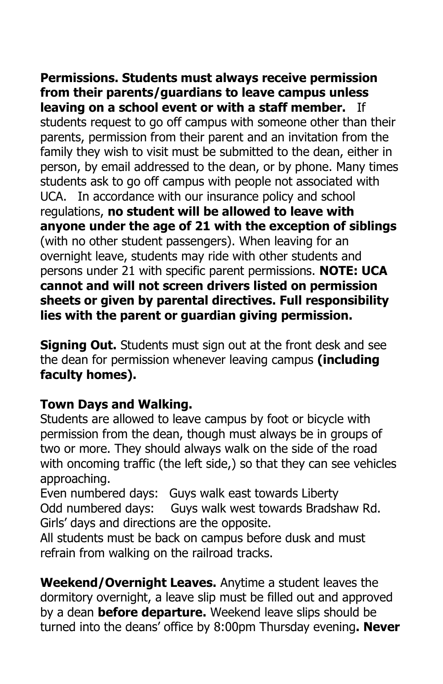**Permissions. Students must always receive permission from their parents/guardians to leave campus unless leaving on a school event or with a staff member.** If students request to go off campus with someone other than their parents, permission from their parent and an invitation from the family they wish to visit must be submitted to the dean, either in person, by email addressed to the dean, or by phone. Many times students ask to go off campus with people not associated with UCA. In accordance with our insurance policy and school regulations, **no student will be allowed to leave with anyone under the age of 21 with the exception of siblings** (with no other student passengers). When leaving for an overnight leave, students may ride with other students and persons under 21 with specific parent permissions. **NOTE: UCA cannot and will not screen drivers listed on permission sheets or given by parental directives. Full responsibility lies with the parent or guardian giving permission.** 

**Signing Out.** Students must sign out at the front desk and see the dean for permission whenever leaving campus **(including faculty homes).** 

### **Town Days and Walking.**

Students are allowed to leave campus by foot or bicycle with permission from the dean, though must always be in groups of two or more. They should always walk on the side of the road with oncoming traffic (the left side,) so that they can see vehicles approaching.

Even numbered days: Guys walk east towards Liberty Odd numbered days: Guys walk west towards Bradshaw Rd. Girls' days and directions are the opposite.

All students must be back on campus before dusk and must refrain from walking on the railroad tracks.

**Weekend/Overnight Leaves.** Anytime a student leaves the dormitory overnight, a leave slip must be filled out and approved by a dean **before departure.** Weekend leave slips should be turned into the deans' office by 8:00pm Thursday evening**. Never**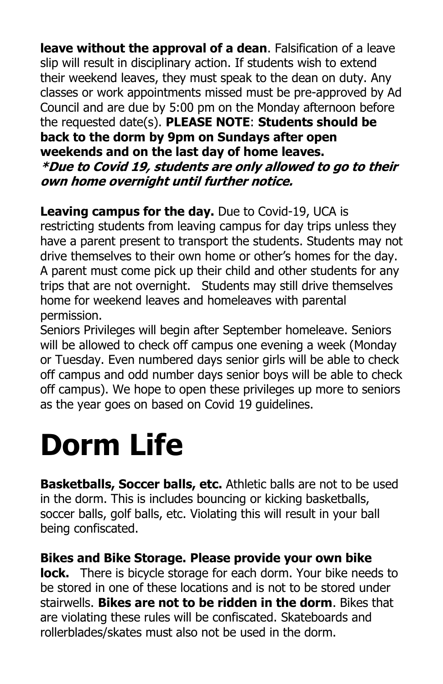**leave without the approval of a dean**. Falsification of a leave slip will result in disciplinary action. If students wish to extend their weekend leaves, they must speak to the dean on duty. Any classes or work appointments missed must be pre-approved by Ad Council and are due by 5:00 pm on the Monday afternoon before the requested date(s). **PLEASE NOTE**: **Students should be back to the dorm by 9pm on Sundays after open weekends and on the last day of home leaves. \*Due to Covid 19, students are only allowed to go to their own home overnight until further notice.** 

### **Leaving campus for the day.** Due to Covid-19, UCA is

restricting students from leaving campus for day trips unless they have a parent present to transport the students. Students may not drive themselves to their own home or other's homes for the day. A parent must come pick up their child and other students for any trips that are not overnight. Students may still drive themselves home for weekend leaves and homeleaves with parental permission.

Seniors Privileges will begin after September homeleave. Seniors will be allowed to check off campus one evening a week (Monday or Tuesday. Even numbered days senior girls will be able to check off campus and odd number days senior boys will be able to check off campus). We hope to open these privileges up more to seniors as the year goes on based on Covid 19 guidelines.

## **Dorm Life**

**Basketballs, Soccer balls, etc.** Athletic balls are not to be used in the dorm. This is includes bouncing or kicking basketballs, soccer balls, golf balls, etc. Violating this will result in your ball being confiscated.

### **Bikes and Bike Storage. Please provide your own bike**

**lock.** There is bicycle storage for each dorm. Your bike needs to be stored in one of these locations and is not to be stored under stairwells. **Bikes are not to be ridden in the dorm**. Bikes that are violating these rules will be confiscated. Skateboards and rollerblades/skates must also not be used in the dorm.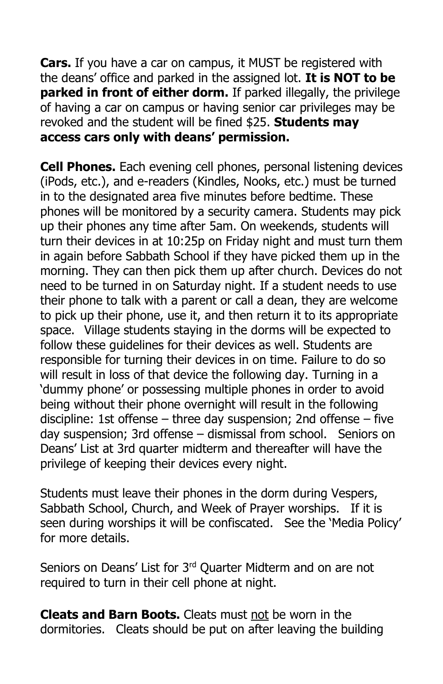**Cars.** If you have a car on campus, it MUST be registered with the deans' office and parked in the assigned lot. **It is NOT to be parked in front of either dorm.** If parked illegally, the privilege of having a car on campus or having senior car privileges may be revoked and the student will be fined \$25. **Students may access cars only with deans' permission.**

**Cell Phones.** Each evening cell phones, personal listening devices (iPods, etc.), and e-readers (Kindles, Nooks, etc.) must be turned in to the designated area five minutes before bedtime. These phones will be monitored by a security camera. Students may pick up their phones any time after 5am. On weekends, students will turn their devices in at 10:25p on Friday night and must turn them in again before Sabbath School if they have picked them up in the morning. They can then pick them up after church. Devices do not need to be turned in on Saturday night. If a student needs to use their phone to talk with a parent or call a dean, they are welcome to pick up their phone, use it, and then return it to its appropriate space. Village students staying in the dorms will be expected to follow these guidelines for their devices as well. Students are responsible for turning their devices in on time. Failure to do so will result in loss of that device the following day. Turning in a 'dummy phone' or possessing multiple phones in order to avoid being without their phone overnight will result in the following discipline: 1st offense – three day suspension; 2nd offense – five day suspension; 3rd offense – dismissal from school. Seniors on Deans' List at 3rd quarter midterm and thereafter will have the privilege of keeping their devices every night.

Students must leave their phones in the dorm during Vespers, Sabbath School, Church, and Week of Prayer worships. If it is seen during worships it will be confiscated. See the 'Media Policy' for more details.

Seniors on Deans' List for 3<sup>rd</sup> Quarter Midterm and on are not required to turn in their cell phone at night.

**Cleats and Barn Boots.** Cleats must not be worn in the dormitories. Cleats should be put on after leaving the building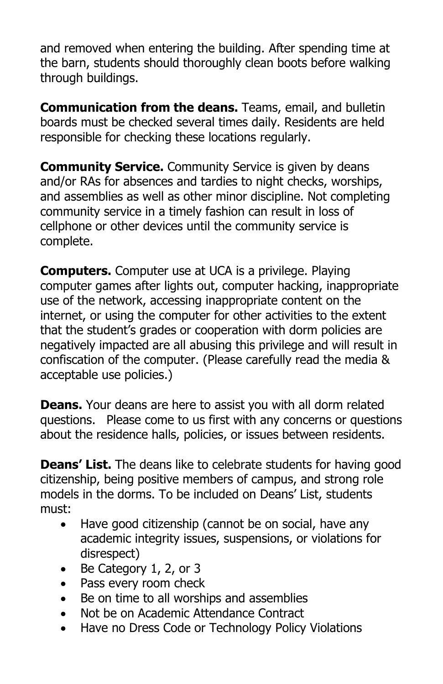and removed when entering the building. After spending time at the barn, students should thoroughly clean boots before walking through buildings.

**Communication from the deans.** Teams, email, and bulletin boards must be checked several times daily. Residents are held responsible for checking these locations regularly.

**Community Service.** Community Service is given by deans and/or RAs for absences and tardies to night checks, worships, and assemblies as well as other minor discipline. Not completing community service in a timely fashion can result in loss of cellphone or other devices until the community service is complete.

**Computers.** Computer use at UCA is a privilege. Playing computer games after lights out, computer hacking, inappropriate use of the network, accessing inappropriate content on the internet, or using the computer for other activities to the extent that the student's grades or cooperation with dorm policies are negatively impacted are all abusing this privilege and will result in confiscation of the computer. (Please carefully read the media & acceptable use policies.)

**Deans.** Your deans are here to assist you with all dorm related questions. Please come to us first with any concerns or questions about the residence halls, policies, or issues between residents.

**Deans' List.** The deans like to celebrate students for having good citizenship, being positive members of campus, and strong role models in the dorms. To be included on Deans' List, students must:

- Have good citizenship (cannot be on social, have any academic integrity issues, suspensions, or violations for disrespect)
- Be Category 1, 2, or 3
- Pass every room check
- Be on time to all worships and assemblies
- Not be on Academic Attendance Contract
- Have no Dress Code or Technology Policy Violations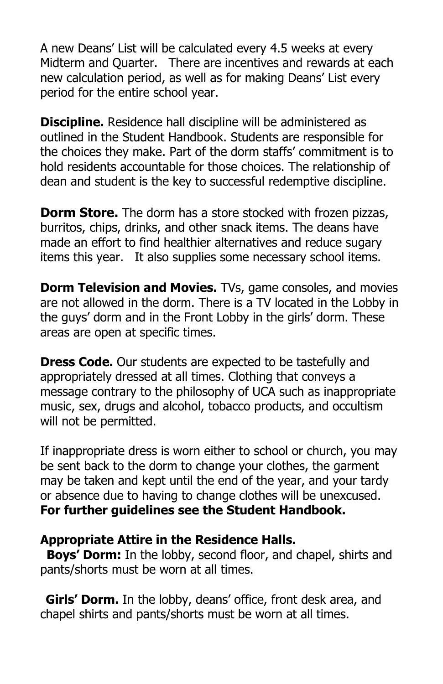A new Deans' List will be calculated every 4.5 weeks at every Midterm and Quarter. There are incentives and rewards at each new calculation period, as well as for making Deans' List every period for the entire school year.

**Discipline.** Residence hall discipline will be administered as outlined in the Student Handbook. Students are responsible for the choices they make. Part of the dorm staffs' commitment is to hold residents accountable for those choices. The relationship of dean and student is the key to successful redemptive discipline.

**Dorm Store.** The dorm has a store stocked with frozen pizzas, burritos, chips, drinks, and other snack items. The deans have made an effort to find healthier alternatives and reduce sugary items this year. It also supplies some necessary school items.

**Dorm Television and Movies.** TVs, game consoles, and movies are not allowed in the dorm. There is a TV located in the Lobby in the guys' dorm and in the Front Lobby in the girls' dorm. These areas are open at specific times.

**Dress Code.** Our students are expected to be tastefully and appropriately dressed at all times. Clothing that conveys a message contrary to the philosophy of UCA such as inappropriate music, sex, drugs and alcohol, tobacco products, and occultism will not be permitted.

If inappropriate dress is worn either to school or church, you may be sent back to the dorm to change your clothes, the garment may be taken and kept until the end of the year, and your tardy or absence due to having to change clothes will be unexcused. **For further guidelines see the Student Handbook.** 

### **Appropriate Attire in the Residence Halls.**

**Boys' Dorm:** In the lobby, second floor, and chapel, shirts and pants/shorts must be worn at all times.

**Girls' Dorm.** In the lobby, deans' office, front desk area, and chapel shirts and pants/shorts must be worn at all times.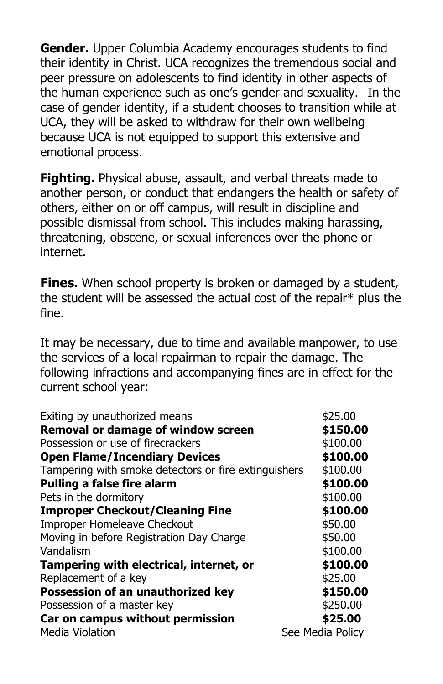**Gender.** Upper Columbia Academy encourages students to find their identity in Christ. UCA recognizes the tremendous social and peer pressure on adolescents to find identity in other aspects of the human experience such as one's gender and sexuality. In the case of gender identity, if a student chooses to transition while at UCA, they will be asked to withdraw for their own wellbeing because UCA is not equipped to support this extensive and emotional process.

**Fighting.** Physical abuse, assault, and verbal threats made to another person, or conduct that endangers the health or safety of others, either on or off campus, will result in discipline and possible dismissal from school. This includes making harassing, threatening, obscene, or sexual inferences over the phone or internet.

**Fines.** When school property is broken or damaged by a student, the student will be assessed the actual cost of the repair\* plus the fine.

It may be necessary, due to time and available manpower, to use the services of a local repairman to repair the damage. The following infractions and accompanying fines are in effect for the current school year:

| Exiting by unauthorized means                        | \$25.00          |
|------------------------------------------------------|------------------|
| Removal or damage of window screen                   | \$150.00         |
| Possession or use of firecrackers                    | \$100.00         |
| <b>Open Flame/Incendiary Devices</b>                 | \$100.00         |
| Tampering with smoke detectors or fire extinguishers | \$100.00         |
| <b>Pulling a false fire alarm</b>                    | \$100.00         |
| Pets in the dormitory                                | \$100.00         |
| <b>Improper Checkout/Cleaning Fine</b>               | \$100.00         |
| Improper Homeleave Checkout                          | \$50.00          |
| Moving in before Registration Day Charge             | \$50.00          |
| Vandalism                                            | \$100.00         |
| Tampering with electrical, internet, or              | \$100.00         |
| Replacement of a key                                 | \$25.00          |
| Possession of an unauthorized key                    | \$150.00         |
| Possession of a master key                           | \$250.00         |
| Car on campus without permission                     | \$25.00          |
| <b>Media Violation</b>                               | See Media Policy |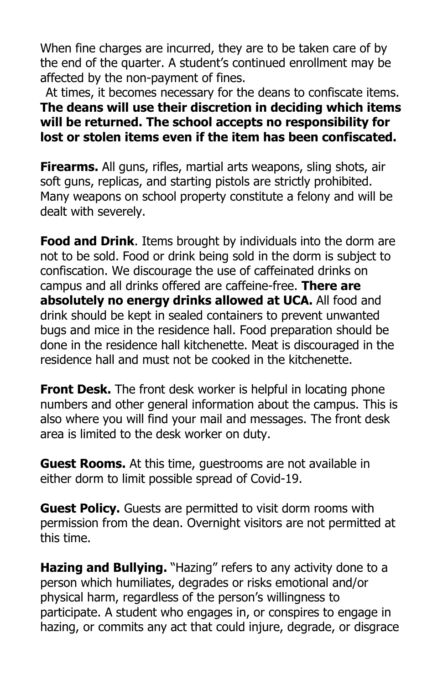When fine charges are incurred, they are to be taken care of by the end of the quarter. A student's continued enrollment may be affected by the non-payment of fines.

At times, it becomes necessary for the deans to confiscate items. **The deans will use their discretion in deciding which items will be returned. The school accepts no responsibility for lost or stolen items even if the item has been confiscated.**

**Firearms.** All guns, rifles, martial arts weapons, sling shots, air soft guns, replicas, and starting pistols are strictly prohibited. Many weapons on school property constitute a felony and will be dealt with severely.

**Food and Drink**. Items brought by individuals into the dorm are not to be sold. Food or drink being sold in the dorm is subject to confiscation. We discourage the use of caffeinated drinks on campus and all drinks offered are caffeine-free. **There are absolutely no energy drinks allowed at UCA.** All food and drink should be kept in sealed containers to prevent unwanted bugs and mice in the residence hall. Food preparation should be done in the residence hall kitchenette. Meat is discouraged in the residence hall and must not be cooked in the kitchenette.

**Front Desk.** The front desk worker is helpful in locating phone numbers and other general information about the campus. This is also where you will find your mail and messages. The front desk area is limited to the desk worker on duty.

**Guest Rooms.** At this time, guestrooms are not available in either dorm to limit possible spread of Covid-19.

**Guest Policy.** Guests are permitted to visit dorm rooms with permission from the dean. Overnight visitors are not permitted at this time.

**Hazing and Bullying.** "Hazing" refers to any activity done to a person which humiliates, degrades or risks emotional and/or physical harm, regardless of the person's willingness to participate. A student who engages in, or conspires to engage in hazing, or commits any act that could injure, degrade, or disgrace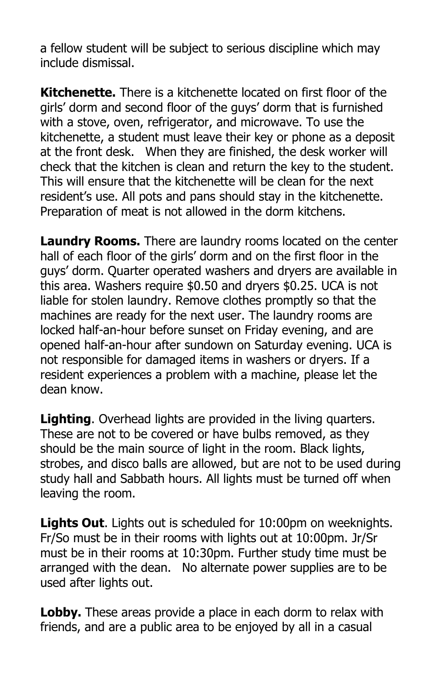a fellow student will be subject to serious discipline which may include dismissal.

**Kitchenette.** There is a kitchenette located on first floor of the girls' dorm and second floor of the guys' dorm that is furnished with a stove, oven, refrigerator, and microwave. To use the kitchenette, a student must leave their key or phone as a deposit at the front desk. When they are finished, the desk worker will check that the kitchen is clean and return the key to the student. This will ensure that the kitchenette will be clean for the next resident's use. All pots and pans should stay in the kitchenette. Preparation of meat is not allowed in the dorm kitchens.

**Laundry Rooms.** There are laundry rooms located on the center hall of each floor of the girls' dorm and on the first floor in the guys' dorm. Quarter operated washers and dryers are available in this area. Washers require \$0.50 and dryers \$0.25. UCA is not liable for stolen laundry. Remove clothes promptly so that the machines are ready for the next user. The laundry rooms are locked half-an-hour before sunset on Friday evening, and are opened half-an-hour after sundown on Saturday evening. UCA is not responsible for damaged items in washers or dryers. If a resident experiences a problem with a machine, please let the dean know.

**Lighting**. Overhead lights are provided in the living quarters. These are not to be covered or have bulbs removed, as they should be the main source of light in the room. Black lights, strobes, and disco balls are allowed, but are not to be used during study hall and Sabbath hours. All lights must be turned off when leaving the room.

**Lights Out**. Lights out is scheduled for 10:00pm on weeknights. Fr/So must be in their rooms with lights out at 10:00pm. Jr/Sr must be in their rooms at 10:30pm. Further study time must be arranged with the dean. No alternate power supplies are to be used after lights out.

**Lobby.** These areas provide a place in each dorm to relax with friends, and are a public area to be enjoyed by all in a casual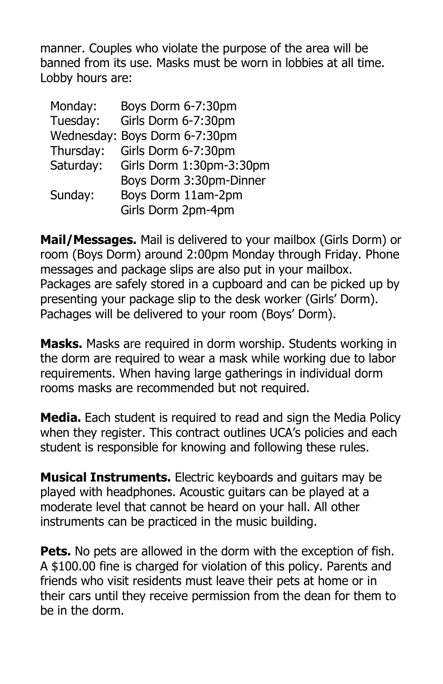manner. Couples who violate the purpose of the area will be banned from its use. Masks must be worn in lobbies at all time. Lobby hours are:

| Monday:   | Boys Dorm 6-7:30pm            |
|-----------|-------------------------------|
| Tuesday:  | Girls Dorm 6-7:30pm           |
|           | Wednesday: Boys Dorm 6-7:30pm |
| Thursday: | Girls Dorm 6-7:30pm           |
| Saturday: | Girls Dorm 1:30pm-3:30pm      |
|           | Boys Dorm 3:30pm-Dinner       |
| Sunday:   | Boys Dorm 11am-2pm            |
|           | Girls Dorm 2pm-4pm            |
|           |                               |

**Mail/Messages.** Mail is delivered to your mailbox (Girls Dorm) or room (Boys Dorm) around 2:00pm Monday through Friday. Phone messages and package slips are also put in your mailbox. Packages are safely stored in a cupboard and can be picked up by presenting your package slip to the desk worker (Girls' Dorm). Pachages will be delivered to your room (Boys' Dorm).

**Masks.** Masks are required in dorm worship. Students working in the dorm are required to wear a mask while working due to labor requirements. When having large gatherings in individual dorm rooms masks are recommended but not required.

**Media.** Each student is required to read and sign the Media Policy when they register. This contract outlines UCA's policies and each student is responsible for knowing and following these rules.

**Musical Instruments.** Electric keyboards and guitars may be played with headphones. Acoustic guitars can be played at a moderate level that cannot be heard on your hall. All other instruments can be practiced in the music building.

**Pets.** No pets are allowed in the dorm with the exception of fish. A \$100.00 fine is charged for violation of this policy. Parents and friends who visit residents must leave their pets at home or in their cars until they receive permission from the dean for them to be in the dorm.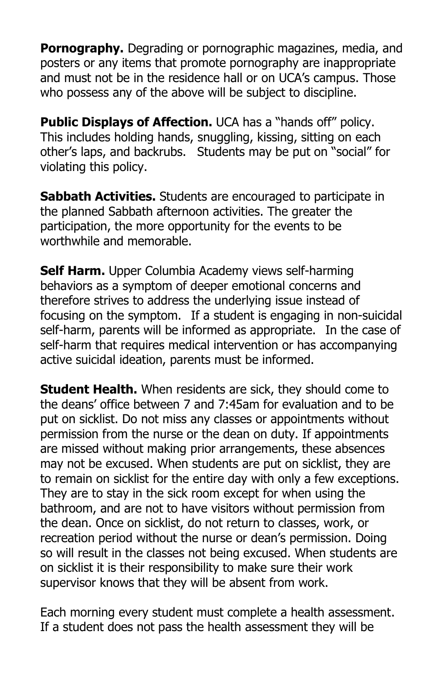**Pornography.** Degrading or pornographic magazines, media, and posters or any items that promote pornography are inappropriate and must not be in the residence hall or on UCA's campus. Those who possess any of the above will be subject to discipline.

**Public Displays of Affection.** UCA has a "hands off" policy. This includes holding hands, snuggling, kissing, sitting on each other's laps, and backrubs. Students may be put on "social" for violating this policy.

**Sabbath Activities.** Students are encouraged to participate in the planned Sabbath afternoon activities. The greater the participation, the more opportunity for the events to be worthwhile and memorable.

**Self Harm.** Upper Columbia Academy views self-harming behaviors as a symptom of deeper emotional concerns and therefore strives to address the underlying issue instead of focusing on the symptom. If a student is engaging in non-suicidal self-harm, parents will be informed as appropriate. In the case of self-harm that requires medical intervention or has accompanying active suicidal ideation, parents must be informed.

**Student Health.** When residents are sick, they should come to the deans' office between 7 and 7:45am for evaluation and to be put on sicklist. Do not miss any classes or appointments without permission from the nurse or the dean on duty. If appointments are missed without making prior arrangements, these absences may not be excused. When students are put on sicklist, they are to remain on sicklist for the entire day with only a few exceptions. They are to stay in the sick room except for when using the bathroom, and are not to have visitors without permission from the dean. Once on sicklist, do not return to classes, work, or recreation period without the nurse or dean's permission. Doing so will result in the classes not being excused. When students are on sicklist it is their responsibility to make sure their work supervisor knows that they will be absent from work.

Each morning every student must complete a health assessment. If a student does not pass the health assessment they will be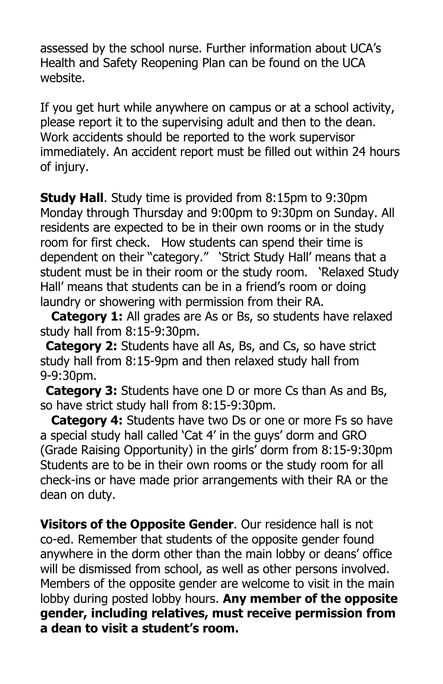assessed by the school nurse. Further information about UCA's Health and Safety Reopening Plan can be found on the UCA website.

If you get hurt while anywhere on campus or at a school activity, please report it to the supervising adult and then to the dean. Work accidents should be reported to the work supervisor immediately. An accident report must be filled out within 24 hours of injury.

**Study Hall**. Study time is provided from 8:15pm to 9:30pm Monday through Thursday and 9:00pm to 9:30pm on Sunday. All residents are expected to be in their own rooms or in the study room for first check. How students can spend their time is dependent on their "category." 'Strict Study Hall' means that a student must be in their room or the study room. 'Relaxed Study Hall' means that students can be in a friend's room or doing laundry or showering with permission from their RA.

 **Category 1:** All grades are As or Bs, so students have relaxed study hall from 8:15-9:30pm.

**Category 2:** Students have all As, Bs, and Cs, so have strict study hall from 8:15-9pm and then relaxed study hall from 9-9:30pm.

**Category 3:** Students have one D or more Cs than As and Bs, so have strict study hall from 8:15-9:30pm.

 **Category 4:** Students have two Ds or one or more Fs so have a special study hall called 'Cat 4' in the guys' dorm and GRO (Grade Raising Opportunity) in the girls' dorm from 8:15-9:30pm Students are to be in their own rooms or the study room for all check-ins or have made prior arrangements with their RA or the dean on duty.

**Visitors of the Opposite Gender**. Our residence hall is not co-ed. Remember that students of the opposite gender found anywhere in the dorm other than the main lobby or deans' office will be dismissed from school, as well as other persons involved. Members of the opposite gender are welcome to visit in the main lobby during posted lobby hours. **Any member of the opposite gender, including relatives, must receive permission from a dean to visit a student's room.**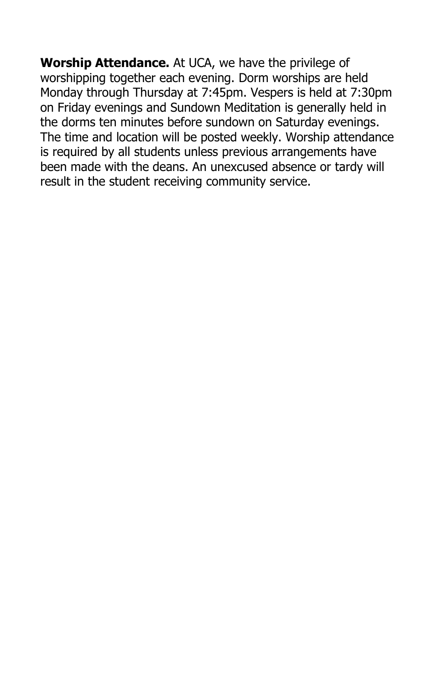**Worship Attendance.** At UCA, we have the privilege of worshipping together each evening. Dorm worships are held Monday through Thursday at 7:45pm. Vespers is held at 7:30pm on Friday evenings and Sundown Meditation is generally held in the dorms ten minutes before sundown on Saturday evenings. The time and location will be posted weekly. Worship attendance is required by all students unless previous arrangements have been made with the deans. An unexcused absence or tardy will result in the student receiving community service.